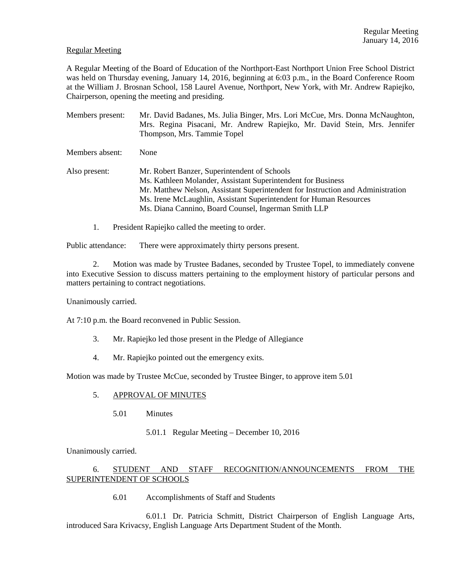### Regular Meeting

A Regular Meeting of the Board of Education of the Northport-East Northport Union Free School District was held on Thursday evening, January 14, 2016, beginning at 6:03 p.m., in the Board Conference Room at the William J. Brosnan School, 158 Laurel Avenue, Northport, New York, with Mr. Andrew Rapiejko, Chairperson, opening the meeting and presiding.

Members present: Mr. David Badanes, Ms. Julia Binger, Mrs. Lori McCue, Mrs. Donna McNaughton, Mrs. Regina Pisacani, Mr. Andrew Rapiejko, Mr. David Stein, Mrs. Jennifer Thompson, Mrs. Tammie Topel Members absent: None Also present: Mr. Robert Banzer, Superintendent of Schools Ms. Kathleen Molander, Assistant Superintendent for Business Mr. Matthew Nelson, Assistant Superintendent for Instruction and Administration Ms. Irene McLaughlin, Assistant Superintendent for Human Resources Ms. Diana Cannino, Board Counsel, Ingerman Smith LLP

1. President Rapiejko called the meeting to order.

Public attendance: There were approximately thirty persons present.

2. Motion was made by Trustee Badanes, seconded by Trustee Topel, to immediately convene into Executive Session to discuss matters pertaining to the employment history of particular persons and matters pertaining to contract negotiations.

Unanimously carried.

At 7:10 p.m. the Board reconvened in Public Session.

- 3. Mr. Rapiejko led those present in the Pledge of Allegiance
- 4. Mr. Rapiejko pointed out the emergency exits.

Motion was made by Trustee McCue, seconded by Trustee Binger, to approve item 5.01

## 5. APPROVAL OF MINUTES

5.01 Minutes

## 5.01.1 Regular Meeting – December 10, 2016

Unanimously carried.

# 6. STUDENT AND STAFF RECOGNITION/ANNOUNCEMENTS FROM THE SUPERINTENDENT OF SCHOOLS

6.01 Accomplishments of Staff and Students

 6.01.1 Dr. Patricia Schmitt, District Chairperson of English Language Arts, introduced Sara Krivacsy, English Language Arts Department Student of the Month.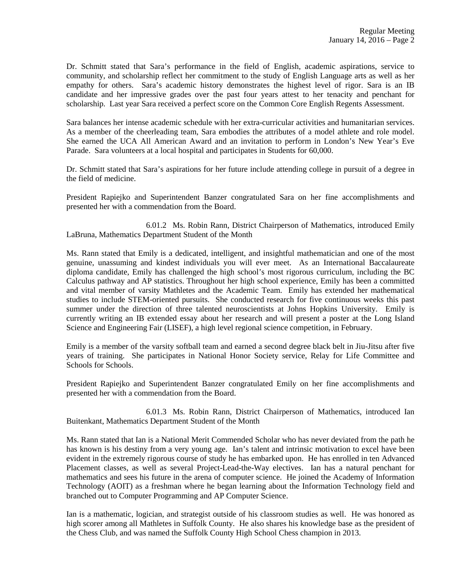Dr. Schmitt stated that Sara's performance in the field of English, academic aspirations, service to community, and scholarship reflect her commitment to the study of English Language arts as well as her empathy for others. Sara's academic history demonstrates the highest level of rigor. Sara is an IB candidate and her impressive grades over the past four years attest to her tenacity and penchant for scholarship. Last year Sara received a perfect score on the Common Core English Regents Assessment.

Sara balances her intense academic schedule with her extra-curricular activities and humanitarian services. As a member of the cheerleading team, Sara embodies the attributes of a model athlete and role model. She earned the UCA All American Award and an invitation to perform in London's New Year's Eve Parade. Sara volunteers at a local hospital and participates in Students for 60,000.

Dr. Schmitt stated that Sara's aspirations for her future include attending college in pursuit of a degree in the field of medicine.

President Rapiejko and Superintendent Banzer congratulated Sara on her fine accomplishments and presented her with a commendation from the Board.

 6.01.2 Ms. Robin Rann, District Chairperson of Mathematics, introduced Emily LaBruna, Mathematics Department Student of the Month

Ms. Rann stated that Emily is a dedicated, intelligent, and insightful mathematician and one of the most genuine, unassuming and kindest individuals you will ever meet. As an International Baccalaureate diploma candidate, Emily has challenged the high school's most rigorous curriculum, including the BC Calculus pathway and AP statistics. Throughout her high school experience, Emily has been a committed and vital member of varsity Mathletes and the Academic Team. Emily has extended her mathematical studies to include STEM-oriented pursuits. She conducted research for five continuous weeks this past summer under the direction of three talented neuroscientists at Johns Hopkins University. Emily is currently writing an IB extended essay about her research and will present a poster at the Long Island Science and Engineering Fair (LISEF), a high level regional science competition, in February.

Emily is a member of the varsity softball team and earned a second degree black belt in Jiu-Jitsu after five years of training. She participates in National Honor Society service, Relay for Life Committee and Schools for Schools.

President Rapiejko and Superintendent Banzer congratulated Emily on her fine accomplishments and presented her with a commendation from the Board.

 6.01.3 Ms. Robin Rann, District Chairperson of Mathematics, introduced Ian Buitenkant, Mathematics Department Student of the Month

Ms. Rann stated that Ian is a National Merit Commended Scholar who has never deviated from the path he has known is his destiny from a very young age. Ian's talent and intrinsic motivation to excel have been evident in the extremely rigorous course of study he has embarked upon. He has enrolled in ten Advanced Placement classes, as well as several Project-Lead-the-Way electives. Ian has a natural penchant for mathematics and sees his future in the arena of computer science. He joined the Academy of Information Technology (AOIT) as a freshman where he began learning about the Information Technology field and branched out to Computer Programming and AP Computer Science.

Ian is a mathematic, logician, and strategist outside of his classroom studies as well. He was honored as high scorer among all Mathletes in Suffolk County. He also shares his knowledge base as the president of the Chess Club, and was named the Suffolk County High School Chess champion in 2013.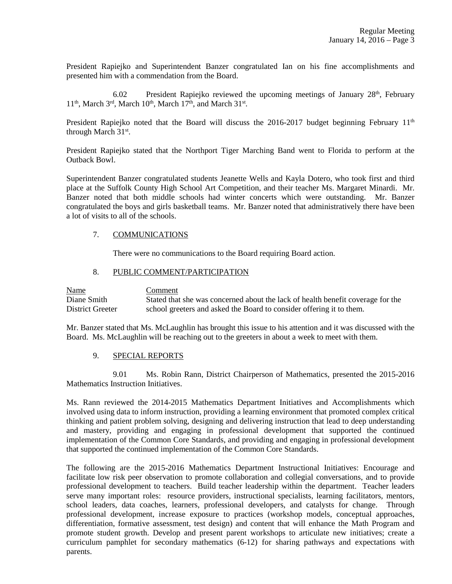President Rapiejko and Superintendent Banzer congratulated Ian on his fine accomplishments and presented him with a commendation from the Board.

6.02 President Rapiejko reviewed the upcoming meetings of January  $28<sup>th</sup>$ , February 11<sup>th</sup>, March 3<sup>rd</sup>, March 10<sup>th</sup>, March 17<sup>th</sup>, and March 31<sup>st</sup>.

President Rapiejko noted that the Board will discuss the 2016-2017 budget beginning February  $11<sup>th</sup>$ through March 31<sup>st</sup>.

President Rapiejko stated that the Northport Tiger Marching Band went to Florida to perform at the Outback Bowl.

Superintendent Banzer congratulated students Jeanette Wells and Kayla Dotero, who took first and third place at the Suffolk County High School Art Competition, and their teacher Ms. Margaret Minardi. Mr. Banzer noted that both middle schools had winter concerts which were outstanding. Mr. Banzer congratulated the boys and girls basketball teams. Mr. Banzer noted that administratively there have been a lot of visits to all of the schools.

### 7. COMMUNICATIONS

There were no communications to the Board requiring Board action.

### 8. PUBLIC COMMENT/PARTICIPATION

| <b>Name</b>      | Comment                                                                         |
|------------------|---------------------------------------------------------------------------------|
| Diane Smith      | Stated that she was concerned about the lack of health benefit coverage for the |
| District Greeter | school greeters and asked the Board to consider offering it to them.            |

Mr. Banzer stated that Ms. McLaughlin has brought this issue to his attention and it was discussed with the Board. Ms. McLaughlin will be reaching out to the greeters in about a week to meet with them.

#### 9. SPECIAL REPORTS

 9.01 Ms. Robin Rann, District Chairperson of Mathematics, presented the 2015-2016 Mathematics Instruction Initiatives.

Ms. Rann reviewed the 2014-2015 Mathematics Department Initiatives and Accomplishments which involved using data to inform instruction, providing a learning environment that promoted complex critical thinking and patient problem solving, designing and delivering instruction that lead to deep understanding and mastery, providing and engaging in professional development that supported the continued implementation of the Common Core Standards, and providing and engaging in professional development that supported the continued implementation of the Common Core Standards.

The following are the 2015-2016 Mathematics Department Instructional Initiatives: Encourage and facilitate low risk peer observation to promote collaboration and collegial conversations, and to provide professional development to teachers. Build teacher leadership within the department. Teacher leaders serve many important roles: resource providers, instructional specialists, learning facilitators, mentors, school leaders, data coaches, learners, professional developers, and catalysts for change. Through professional development, increase exposure to practices (workshop models, conceptual approaches, differentiation, formative assessment, test design) and content that will enhance the Math Program and promote student growth. Develop and present parent workshops to articulate new initiatives; create a curriculum pamphlet for secondary mathematics (6-12) for sharing pathways and expectations with parents.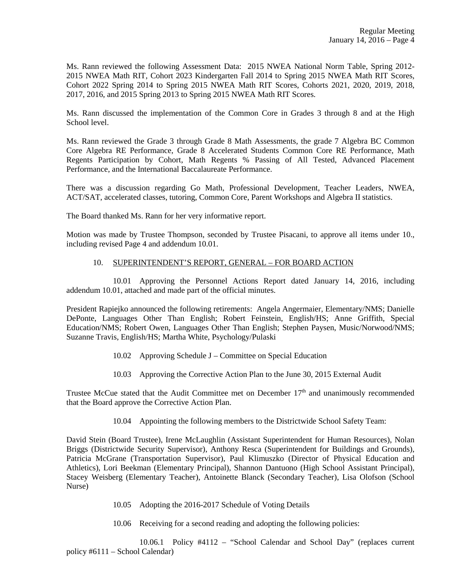Ms. Rann reviewed the following Assessment Data: 2015 NWEA National Norm Table, Spring 2012- 2015 NWEA Math RIT, Cohort 2023 Kindergarten Fall 2014 to Spring 2015 NWEA Math RIT Scores, Cohort 2022 Spring 2014 to Spring 2015 NWEA Math RIT Scores, Cohorts 2021, 2020, 2019, 2018, 2017, 2016, and 2015 Spring 2013 to Spring 2015 NWEA Math RIT Scores.

Ms. Rann discussed the implementation of the Common Core in Grades 3 through 8 and at the High School level.

Ms. Rann reviewed the Grade 3 through Grade 8 Math Assessments, the grade 7 Algebra BC Common Core Algebra RE Performance, Grade 8 Accelerated Students Common Core RE Performance, Math Regents Participation by Cohort, Math Regents % Passing of All Tested, Advanced Placement Performance, and the International Baccalaureate Performance.

There was a discussion regarding Go Math, Professional Development, Teacher Leaders, NWEA, ACT/SAT, accelerated classes, tutoring, Common Core, Parent Workshops and Algebra II statistics.

The Board thanked Ms. Rann for her very informative report.

Motion was made by Trustee Thompson, seconded by Trustee Pisacani, to approve all items under 10., including revised Page 4 and addendum 10.01.

### 10. SUPERINTENDENT'S REPORT, GENERAL – FOR BOARD ACTION

 10.01 Approving the Personnel Actions Report dated January 14, 2016, including addendum 10.01, attached and made part of the official minutes.

President Rapiejko announced the following retirements: Angela Angermaier, Elementary/NMS; Danielle DePonte, Languages Other Than English; Robert Feinstein, English/HS; Anne Griffith, Special Education/NMS; Robert Owen, Languages Other Than English; Stephen Paysen, Music/Norwood/NMS; Suzanne Travis, English/HS; Martha White, Psychology/Pulaski

- 10.02 Approving Schedule J Committee on Special Education
- 10.03 Approving the Corrective Action Plan to the June 30, 2015 External Audit

Trustee McCue stated that the Audit Committee met on December 17<sup>th</sup> and unanimously recommended that the Board approve the Corrective Action Plan.

10.04 Appointing the following members to the Districtwide School Safety Team:

David Stein (Board Trustee), Irene McLaughlin (Assistant Superintendent for Human Resources), Nolan Briggs (Districtwide Security Supervisor), Anthony Resca (Superintendent for Buildings and Grounds), Patricia McGrane (Transportation Supervisor), Paul Klimuszko (Director of Physical Education and Athletics), Lori Beekman (Elementary Principal), Shannon Dantuono (High School Assistant Principal), Stacey Weisberg (Elementary Teacher), Antoinette Blanck (Secondary Teacher), Lisa Olofson (School Nurse)

- 10.05 Adopting the 2016-2017 Schedule of Voting Details
- 10.06 Receiving for a second reading and adopting the following policies:

 10.06.1 Policy #4112 – "School Calendar and School Day" (replaces current policy #6111 – School Calendar)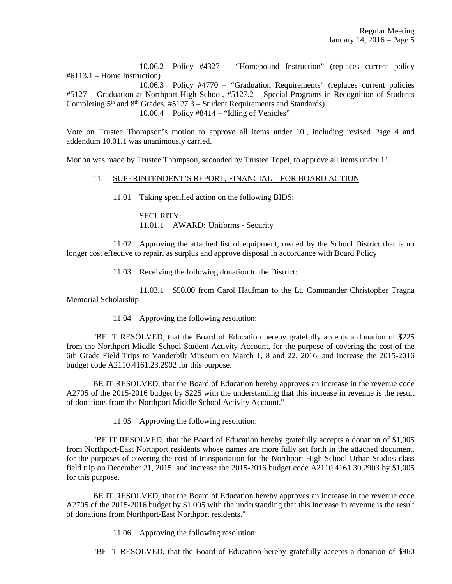10.06.2 Policy #4327 – "Homebound Instruction" (replaces current policy #6113.1 – Home Instruction) 10.06.3 Policy #4770 – "Graduation Requirements" (replaces current policies #5127 – Graduation at Northport High School, #5127.2 – Special Programs in Recognition of Students Completing  $5<sup>th</sup>$  and  $8<sup>th</sup>$  Grades, #5127.3 – Student Requirements and Standards) 10.06.4 Policy #8414 – "Idling of Vehicles"

Vote on Trustee Thompson's motion to approve all items under 10., including revised Page 4 and addendum 10.01.1 was unanimously carried.

Motion was made by Trustee Thompson, seconded by Trustee Topel, to approve all items under 11.

### 11. SUPERINTENDENT'S REPORT, FINANCIAL – FOR BOARD ACTION

11.01 Taking specified action on the following BIDS:

 SECURITY: 11.01.1 AWARD: Uniforms - Security

 11.02 Approving the attached list of equipment, owned by the School District that is no longer cost effective to repair, as surplus and approve disposal in accordance with Board Policy

11.03 Receiving the following donation to the District:

 11.03.1 \$50.00 from Carol Haufman to the Lt. Commander Christopher Tragna Memorial Scholarship

11.04 Approving the following resolution:

 "BE IT RESOLVED, that the Board of Education hereby gratefully accepts a donation of \$225 from the Northport Middle School Student Activity Account, for the purpose of covering the cost of the 6th Grade Field Trips to Vanderbilt Museum on March 1, 8 and 22, 2016, and increase the 2015-2016 budget code A2110.4161.23.2902 for this purpose.

 BE IT RESOLVED, that the Board of Education hereby approves an increase in the revenue code A2705 of the 2015-2016 budget by \$225 with the understanding that this increase in revenue is the result of donations from the Northport Middle School Activity Account."

11.05 Approving the following resolution:

 "BE IT RESOLVED, that the Board of Education hereby gratefully accepts a donation of \$1,005 from Northport-East Northport residents whose names are more fully set forth in the attached document, for the purposes of covering the cost of transportation for the Northport High School Urban Studies class field trip on December 21, 2015, and increase the 2015-2016 budget code A2110.4161.30.2903 by \$1,005 for this purpose.

 BE IT RESOLVED, that the Board of Education hereby approves an increase in the revenue code A2705 of the 2015-2016 budget by \$1,005 with the understanding that this increase in revenue is the result of donations from Northport-East Northport residents."

11.06 Approving the following resolution:

"BE IT RESOLVED, that the Board of Education hereby gratefully accepts a donation of \$960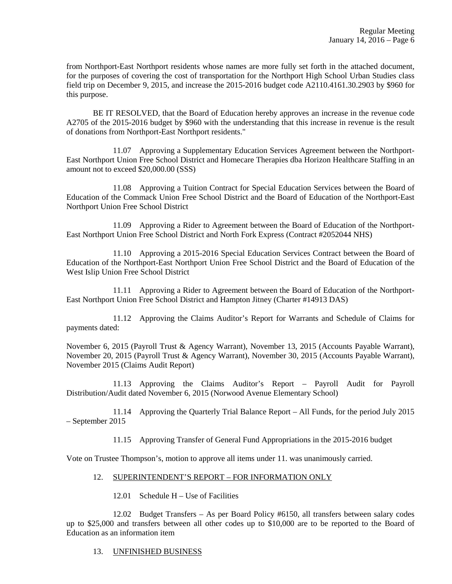from Northport-East Northport residents whose names are more fully set forth in the attached document, for the purposes of covering the cost of transportation for the Northport High School Urban Studies class field trip on December 9, 2015, and increase the 2015-2016 budget code A2110.4161.30.2903 by \$960 for this purpose.

 BE IT RESOLVED, that the Board of Education hereby approves an increase in the revenue code A2705 of the 2015-2016 budget by \$960 with the understanding that this increase in revenue is the result of donations from Northport-East Northport residents."

 11.07 Approving a Supplementary Education Services Agreement between the Northport-East Northport Union Free School District and Homecare Therapies dba Horizon Healthcare Staffing in an amount not to exceed \$20,000.00 (SSS)

 11.08 Approving a Tuition Contract for Special Education Services between the Board of Education of the Commack Union Free School District and the Board of Education of the Northport-East Northport Union Free School District

 11.09 Approving a Rider to Agreement between the Board of Education of the Northport-East Northport Union Free School District and North Fork Express (Contract #2052044 NHS)

 11.10 Approving a 2015-2016 Special Education Services Contract between the Board of Education of the Northport-East Northport Union Free School District and the Board of Education of the West Islip Union Free School District

 11.11 Approving a Rider to Agreement between the Board of Education of the Northport-East Northport Union Free School District and Hampton Jitney (Charter #14913 DAS)

 11.12 Approving the Claims Auditor's Report for Warrants and Schedule of Claims for payments dated:

November 6, 2015 (Payroll Trust & Agency Warrant), November 13, 2015 (Accounts Payable Warrant), November 20, 2015 (Payroll Trust & Agency Warrant), November 30, 2015 (Accounts Payable Warrant), November 2015 (Claims Audit Report)

 11.13 Approving the Claims Auditor's Report – Payroll Audit for Payroll Distribution/Audit dated November 6, 2015 (Norwood Avenue Elementary School)

 11.14 Approving the Quarterly Trial Balance Report – All Funds, for the period July 2015 – September 2015

11.15 Approving Transfer of General Fund Appropriations in the 2015-2016 budget

Vote on Trustee Thompson's, motion to approve all items under 11. was unanimously carried.

## 12. SUPERINTENDENT'S REPORT – FOR INFORMATION ONLY

12.01 Schedule H – Use of Facilities

 12.02 Budget Transfers – As per Board Policy #6150, all transfers between salary codes up to \$25,000 and transfers between all other codes up to \$10,000 are to be reported to the Board of Education as an information item

## 13. UNFINISHED BUSINESS